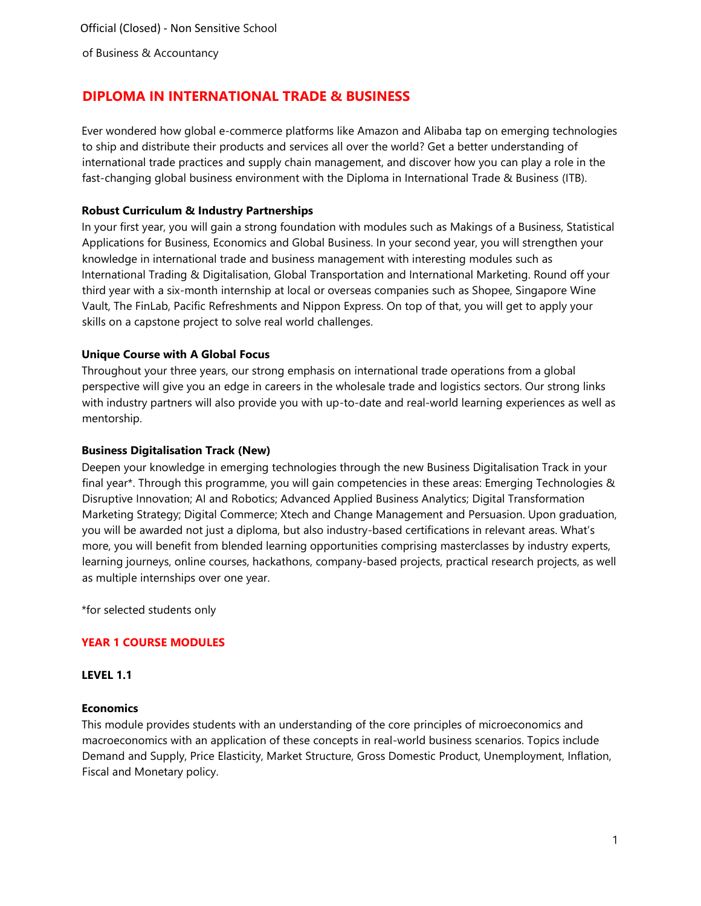# **DIPLOMA IN INTERNATIONAL TRADE & BUSINESS**

Ever wondered how global e-commerce platforms like Amazon and Alibaba tap on emerging technologies to ship and distribute their products and services all over the world? Get a better understanding of international trade practices and supply chain management, and discover how you can play a role in the fast-changing global business environment with the Diploma in International Trade & Business (ITB).

### **Robust Curriculum & Industry Partnerships**

In your first year, you will gain a strong foundation with modules such as Makings of a Business, Statistical Applications for Business, Economics and Global Business. In your second year, you will strengthen your knowledge in international trade and business management with interesting modules such as International Trading & Digitalisation, Global Transportation and International Marketing. Round off your third year with a six-month internship at local or overseas companies such as Shopee, Singapore Wine Vault, The FinLab, Pacific Refreshments and Nippon Express. On top of that, you will get to apply your skills on a capstone project to solve real world challenges.

### **Unique Course with A Global Focus**

Throughout your three years, our strong emphasis on international trade operations from a global perspective will give you an edge in careers in the wholesale trade and logistics sectors. Our strong links with industry partners will also provide you with up-to-date and real-world learning experiences as well as mentorship.

### **Business Digitalisation Track (New)**

Deepen your knowledge in emerging technologies through the new Business Digitalisation Track in your final year\*. Through this programme, you will gain competencies in these areas: Emerging Technologies & Disruptive Innovation; AI and Robotics; Advanced Applied Business Analytics; Digital Transformation Marketing Strategy; Digital Commerce; Xtech and Change Management and Persuasion. Upon graduation, you will be awarded not just a diploma, but also industry-based certifications in relevant areas. What's more, you will benefit from blended learning opportunities comprising masterclasses by industry experts, learning journeys, online courses, hackathons, company-based projects, practical research projects, as well as multiple internships over one year.

\*for selected students only

# **YEAR 1 COURSE MODULES**

### **LEVEL 1.1**

### **Economics**

This module provides students with an understanding of the core principles of microeconomics and macroeconomics with an application of these concepts in real-world business scenarios. Topics include Demand and Supply, Price Elasticity, Market Structure, Gross Domestic Product, Unemployment, Inflation, Fiscal and Monetary policy.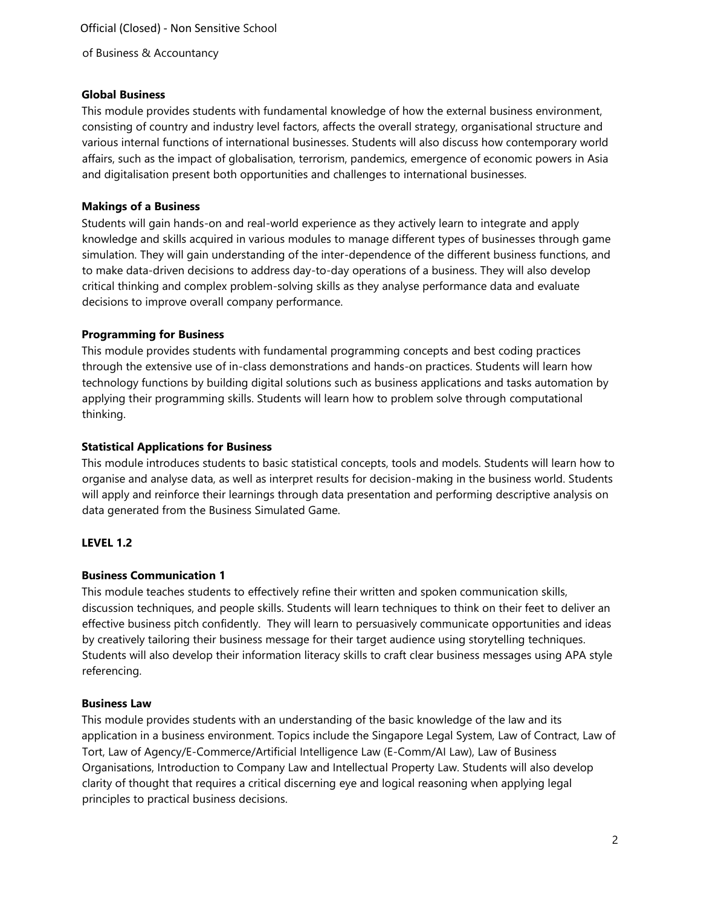Official (Closed) - Non Sensitive School of Business & Accountancy

#### **Global Business**

This module provides students with fundamental knowledge of how the external business environment, consisting of country and industry level factors, affects the overall strategy, organisational structure and various internal functions of international businesses. Students will also discuss how contemporary world affairs, such as the impact of globalisation, terrorism, pandemics, emergence of economic powers in Asia and digitalisation present both opportunities and challenges to international businesses.

### **Makings of a Business**

Students will gain hands-on and real-world experience as they actively learn to integrate and apply knowledge and skills acquired in various modules to manage different types of businesses through game simulation. They will gain understanding of the inter-dependence of the different business functions, and to make data-driven decisions to address day-to-day operations of a business. They will also develop critical thinking and complex problem-solving skills as they analyse performance data and evaluate decisions to improve overall company performance.

#### **Programming for Business**

This module provides students with fundamental programming concepts and best coding practices through the extensive use of in-class demonstrations and hands-on practices. Students will learn how technology functions by building digital solutions such as business applications and tasks automation by applying their programming skills. Students will learn how to problem solve through computational thinking.

#### **Statistical Applications for Business**

This module introduces students to basic statistical concepts, tools and models. Students will learn how to organise and analyse data, as well as interpret results for decision-making in the business world. Students will apply and reinforce their learnings through data presentation and performing descriptive analysis on data generated from the Business Simulated Game.

#### **LEVEL 1.2**

#### **Business Communication 1**

This module teaches students to effectively refine their written and spoken communication skills, discussion techniques, and people skills. Students will learn techniques to think on their feet to deliver an effective business pitch confidently. They will learn to persuasively communicate opportunities and ideas by creatively tailoring their business message for their target audience using storytelling techniques. Students will also develop their information literacy skills to craft clear business messages using APA style referencing.

#### **Business Law**

This module provides students with an understanding of the basic knowledge of the law and its application in a business environment. Topics include the Singapore Legal System, Law of Contract, Law of Tort, Law of Agency/E-Commerce/Artificial Intelligence Law (E-Comm/AI Law), Law of Business Organisations, Introduction to Company Law and Intellectual Property Law. Students will also develop clarity of thought that requires a critical discerning eye and logical reasoning when applying legal principles to practical business decisions.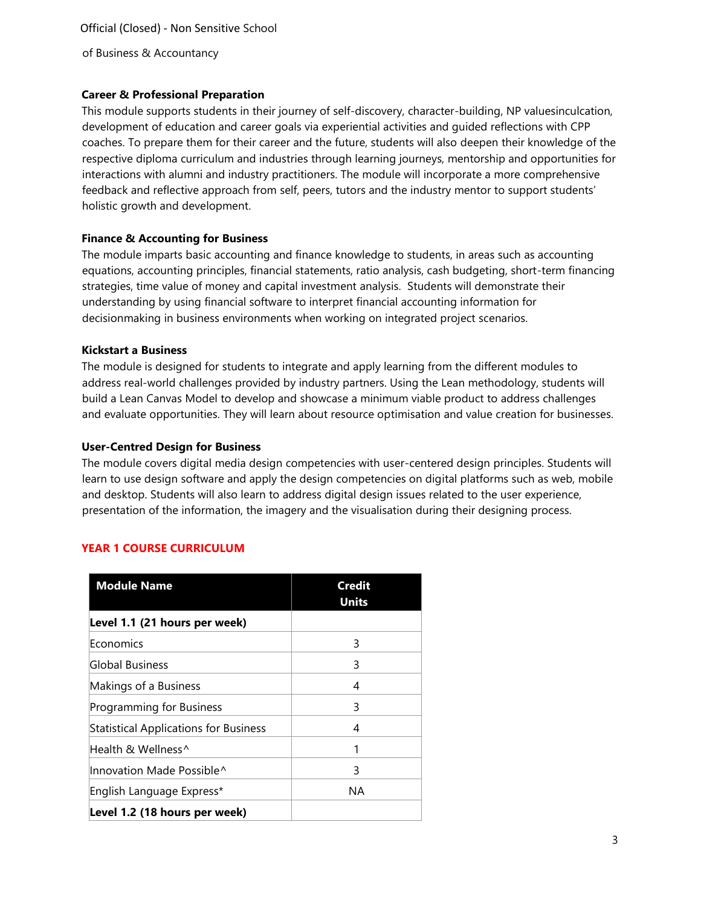Official (Closed) - Non Sensitive School of Business & Accountancy

### **Career & Professional Preparation**

This module supports students in their journey of self-discovery, character-building, NP valuesinculcation, development of education and career goals via experiential activities and guided reflections with CPP coaches. To prepare them for their career and the future, students will also deepen their knowledge of the respective diploma curriculum and industries through learning journeys, mentorship and opportunities for interactions with alumni and industry practitioners. The module will incorporate a more comprehensive feedback and reflective approach from self, peers, tutors and the industry mentor to support students' holistic growth and development.

#### **Finance & Accounting for Business**

The module imparts basic accounting and finance knowledge to students, in areas such as accounting equations, accounting principles, financial statements, ratio analysis, cash budgeting, short-term financing strategies, time value of money and capital investment analysis. Students will demonstrate their understanding by using financial software to interpret financial accounting information for decisionmaking in business environments when working on integrated project scenarios.

#### **Kickstart a Business**

The module is designed for students to integrate and apply learning from the different modules to address real-world challenges provided by industry partners. Using the Lean methodology, students will build a Lean Canvas Model to develop and showcase a minimum viable product to address challenges and evaluate opportunities. They will learn about resource optimisation and value creation for businesses.

#### **User-Centred Design for Business**

The module covers digital media design competencies with user-centered design principles. Students will learn to use design software and apply the design competencies on digital platforms such as web, mobile and desktop. Students will also learn to address digital design issues related to the user experience, presentation of the information, the imagery and the visualisation during their designing process.

### **YEAR 1 COURSE CURRICULUM**

| <b>Module Name</b>                           | Credit<br><b>Units</b> |
|----------------------------------------------|------------------------|
| Level 1.1 (21 hours per week)                |                        |
| Economics                                    | 3                      |
| Global Business                              | 3                      |
| Makings of a Business                        | 4                      |
| Programming for Business                     | 3                      |
| <b>Statistical Applications for Business</b> | 4                      |
| Health & Wellness^                           | 1                      |
| Innovation Made Possible^                    | 3                      |
| English Language Express*                    | NA.                    |
| Level 1.2 (18 hours per week)                |                        |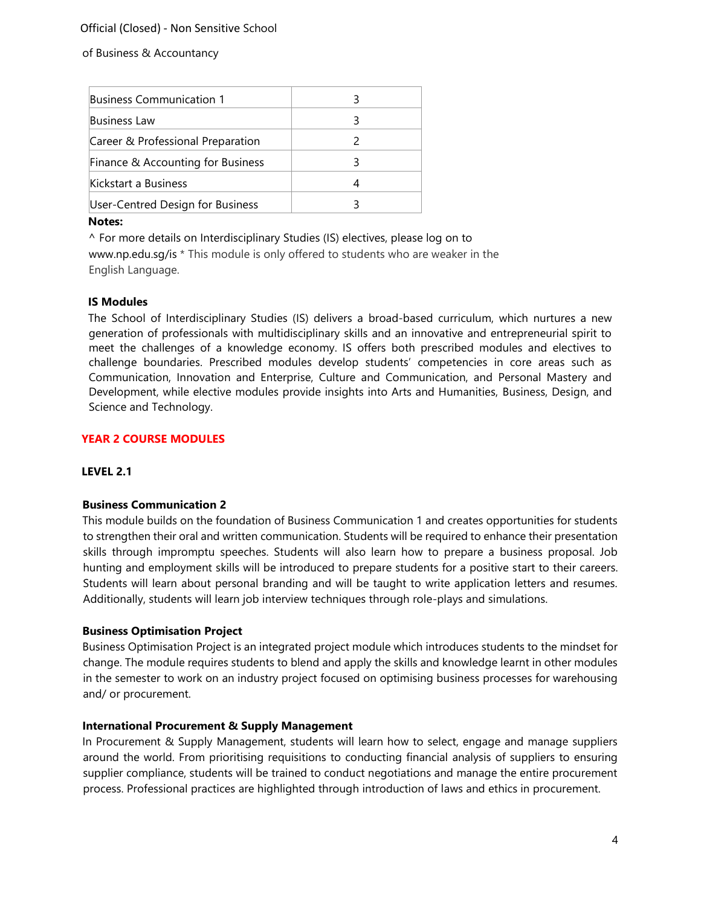### Official (Closed) - Non Sensitive School

of Business & Accountancy

| Business Communication 1          |  |
|-----------------------------------|--|
| Business Law                      |  |
| Career & Professional Preparation |  |
| Finance & Accounting for Business |  |
| Kickstart a Business              |  |
| User-Centred Design for Business  |  |
|                                   |  |

#### **Notes:**

^ For more details on Interdisciplinary Studies (IS) electives, please log on to [www.np.edu.sg/is](http://www.np.edu.sg/is) [\\*](http://www.np.edu.sg/is) This module is only offered to students who are weaker in the English Language.

#### **IS Modules**

The School of Interdisciplinary Studies (IS) delivers a broad-based curriculum, which nurtures a new generation of professionals with multidisciplinary skills and an innovative and entrepreneurial spirit to meet the challenges of a knowledge economy. IS offers both prescribed modules and electives to challenge boundaries. Prescribed modules develop students' competencies in core areas such as Communication, Innovation and Enterprise, Culture and Communication, and Personal Mastery and Development, while elective modules provide insights into Arts and Humanities, Business, Design, and Science and Technology.

#### **YEAR 2 COURSE MODULES**

#### **LEVEL 2.1**

#### **Business Communication 2**

This module builds on the foundation of Business Communication 1 and creates opportunities for students to strengthen their oral and written communication. Students will be required to enhance their presentation skills through impromptu speeches. Students will also learn how to prepare a business proposal. Job hunting and employment skills will be introduced to prepare students for a positive start to their careers. Students will learn about personal branding and will be taught to write application letters and resumes. Additionally, students will learn job interview techniques through role-plays and simulations.

#### **Business Optimisation Project**

Business Optimisation Project is an integrated project module which introduces students to the mindset for change. The module requires students to blend and apply the skills and knowledge learnt in other modules in the semester to work on an industry project focused on optimising business processes for warehousing and/ or procurement.

#### **International Procurement & Supply Management**

In Procurement & Supply Management, students will learn how to select, engage and manage suppliers around the world. From prioritising requisitions to conducting financial analysis of suppliers to ensuring supplier compliance, students will be trained to conduct negotiations and manage the entire procurement process. Professional practices are highlighted through introduction of laws and ethics in procurement.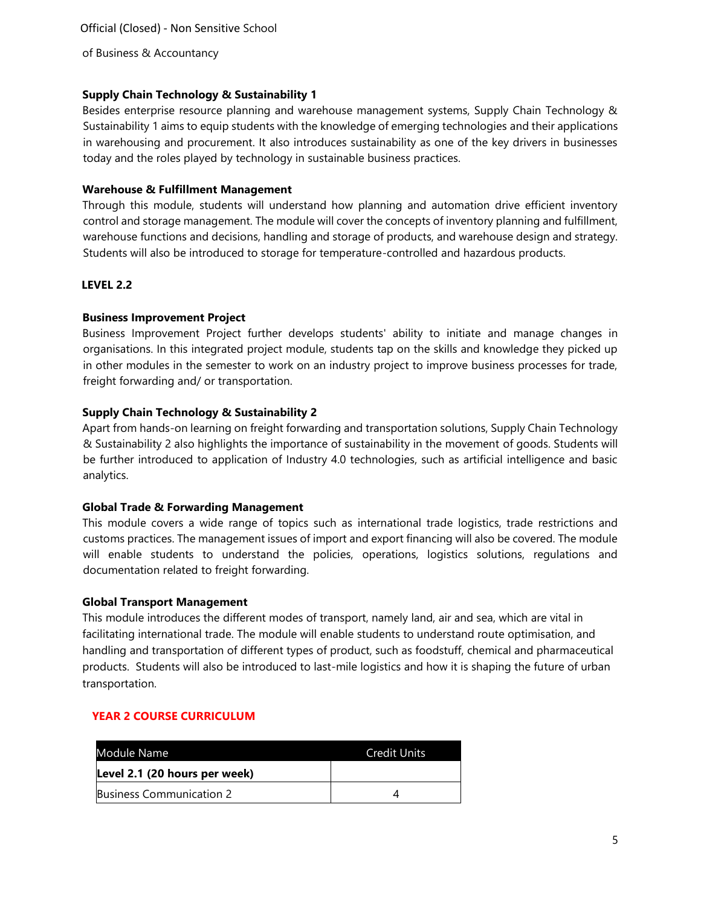of Business & Accountancy

### **Supply Chain Technology & Sustainability 1**

Besides enterprise resource planning and warehouse management systems, Supply Chain Technology & Sustainability 1 aims to equip students with the knowledge of emerging technologies and their applications in warehousing and procurement. It also introduces sustainability as one of the key drivers in businesses today and the roles played by technology in sustainable business practices.

### **Warehouse & Fulfillment Management**

Through this module, students will understand how planning and automation drive efficient inventory control and storage management. The module will cover the concepts of inventory planning and fulfillment, warehouse functions and decisions, handling and storage of products, and warehouse design and strategy. Students will also be introduced to storage for temperature-controlled and hazardous products.

### **LEVEL 2.2**

### **Business Improvement Project**

Business Improvement Project further develops students' ability to initiate and manage changes in organisations. In this integrated project module, students tap on the skills and knowledge they picked up in other modules in the semester to work on an industry project to improve business processes for trade, freight forwarding and/ or transportation.

### **Supply Chain Technology & Sustainability 2**

Apart from hands-on learning on freight forwarding and transportation solutions, Supply Chain Technology & Sustainability 2 also highlights the importance of sustainability in the movement of goods. Students will be further introduced to application of Industry 4.0 technologies, such as artificial intelligence and basic analytics.

#### **Global Trade & Forwarding Management**

This module covers a wide range of topics such as international trade logistics, trade restrictions and customs practices. The management issues of import and export financing will also be covered. The module will enable students to understand the policies, operations, logistics solutions, regulations and documentation related to freight forwarding.

#### **Global Transport Management**

This module introduces the different modes of transport, namely land, air and sea, which are vital in facilitating international trade. The module will enable students to understand route optimisation, and handling and transportation of different types of product, such as foodstuff, chemical and pharmaceutical products. Students will also be introduced to last-mile logistics and how it is shaping the future of urban transportation.

### **YEAR 2 COURSE CURRICULUM**

| Module Name                   | <b>Credit Units</b> |
|-------------------------------|---------------------|
| Level 2.1 (20 hours per week) |                     |
| Business Communication 2      |                     |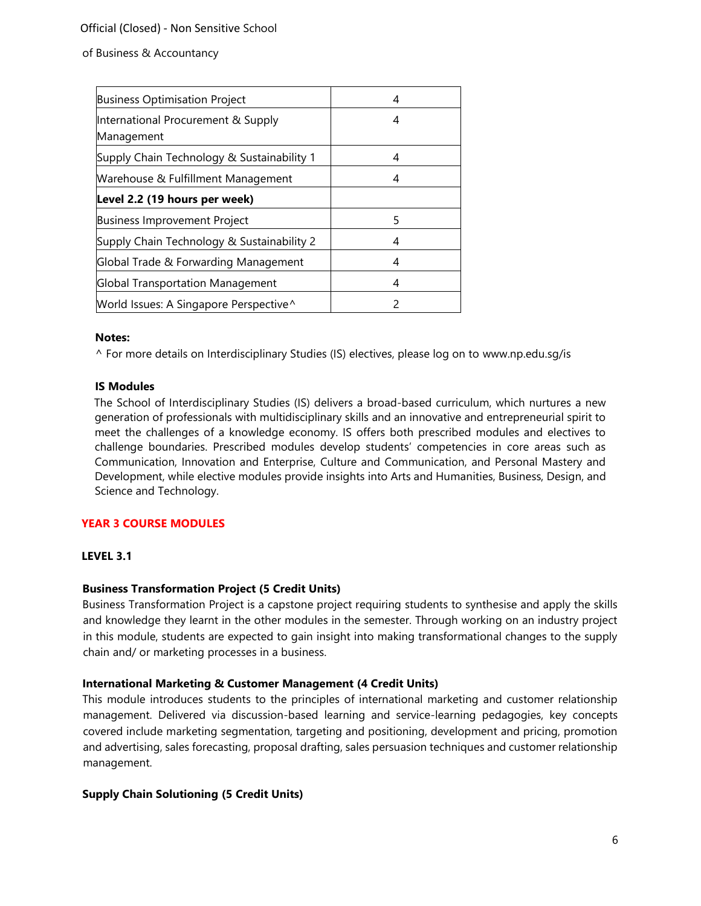### Official (Closed) - Non Sensitive School

#### of Business & Accountancy

| <b>Business Optimisation Project</b>             | 4 |
|--------------------------------------------------|---|
| International Procurement & Supply<br>Management | 4 |
| Supply Chain Technology & Sustainability 1       | 4 |
| Warehouse & Fulfillment Management               | 4 |
| Level 2.2 (19 hours per week)                    |   |
| <b>Business Improvement Project</b>              | 5 |
| Supply Chain Technology & Sustainability 2       | 4 |
| Global Trade & Forwarding Management             | 4 |
| <b>Global Transportation Management</b>          | 4 |
| World Issues: A Singapore Perspective^           | 2 |

#### **Notes:**

^ For more details on Interdisciplinary Studies (IS) electives, please log on to [www.np.edu.sg/is](http://www.np.edu.sg/is)

#### **IS Modules**

The School of Interdisciplinary Studies (IS) delivers a broad-based curriculum, which nurtures a new generation of professionals with multidisciplinary skills and an innovative and entrepreneurial spirit to meet the challenges of a knowledge economy. IS offers both prescribed modules and electives to challenge boundaries. Prescribed modules develop students' competencies in core areas such as Communication, Innovation and Enterprise, Culture and Communication, and Personal Mastery and Development, while elective modules provide insights into Arts and Humanities, Business, Design, and Science and Technology.

### **YEAR 3 COURSE MODULES**

### **LEVEL 3.1**

### **Business Transformation Project (5 Credit Units)**

Business Transformation Project is a capstone project requiring students to synthesise and apply the skills and knowledge they learnt in the other modules in the semester. Through working on an industry project in this module, students are expected to gain insight into making transformational changes to the supply chain and/ or marketing processes in a business.

#### **International Marketing & Customer Management (4 Credit Units)**

This module introduces students to the principles of international marketing and customer relationship management. Delivered via discussion-based learning and service-learning pedagogies, key concepts covered include marketing segmentation, targeting and positioning, development and pricing, promotion and advertising, sales forecasting, proposal drafting, sales persuasion techniques and customer relationship management.

### **Supply Chain Solutioning (5 Credit Units)**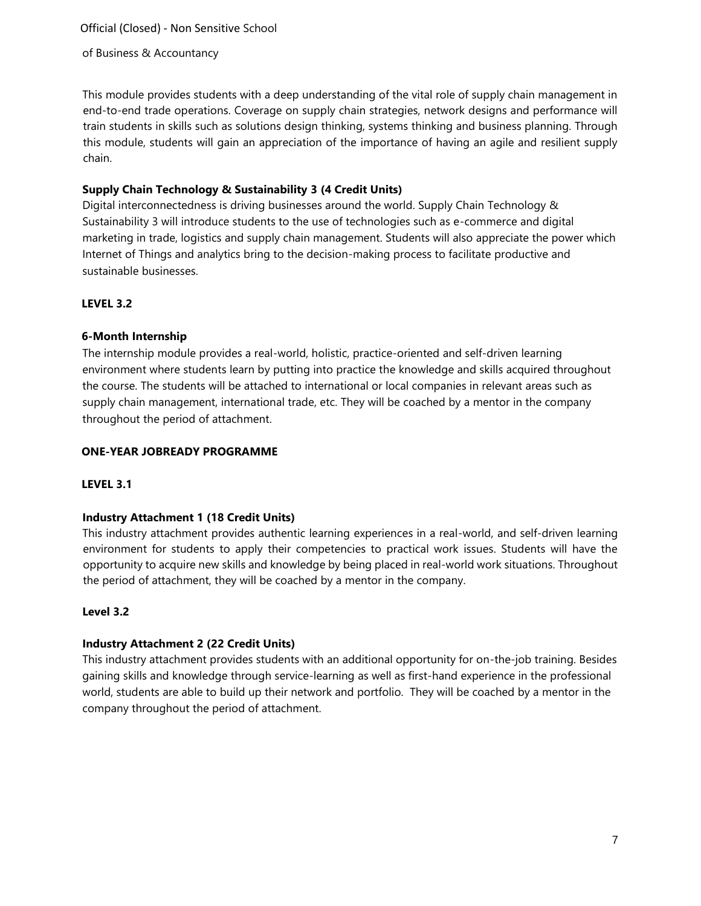Official (Closed) - Non Sensitive School

of Business & Accountancy

This module provides students with a deep understanding of the vital role of supply chain management in end-to-end trade operations. Coverage on supply chain strategies, network designs and performance will train students in skills such as solutions design thinking, systems thinking and business planning. Through this module, students will gain an appreciation of the importance of having an agile and resilient supply chain.

### **Supply Chain Technology & Sustainability 3 (4 Credit Units)**

Digital interconnectedness is driving businesses around the world. Supply Chain Technology & Sustainability 3 will introduce students to the use of technologies such as e-commerce and digital marketing in trade, logistics and supply chain management. Students will also appreciate the power which Internet of Things and analytics bring to the decision-making process to facilitate productive and sustainable businesses.

### **LEVEL 3.2**

### **6-Month Internship**

The internship module provides a real-world, holistic, practice-oriented and self-driven learning environment where students learn by putting into practice the knowledge and skills acquired throughout the course. The students will be attached to international or local companies in relevant areas such as supply chain management, international trade, etc. They will be coached by a mentor in the company throughout the period of attachment.

### **ONE-YEAR JOBREADY PROGRAMME**

### **LEVEL 3.1**

### **Industry Attachment 1 (18 Credit Units)**

This industry attachment provides authentic learning experiences in a real-world, and self-driven learning environment for students to apply their competencies to practical work issues. Students will have the opportunity to acquire new skills and knowledge by being placed in real-world work situations. Throughout the period of attachment, they will be coached by a mentor in the company.

### **Level 3.2**

### **Industry Attachment 2 (22 Credit Units)**

This industry attachment provides students with an additional opportunity for on-the-job training. Besides gaining skills and knowledge through service-learning as well as first-hand experience in the professional world, students are able to build up their network and portfolio. They will be coached by a mentor in the company throughout the period of attachment.